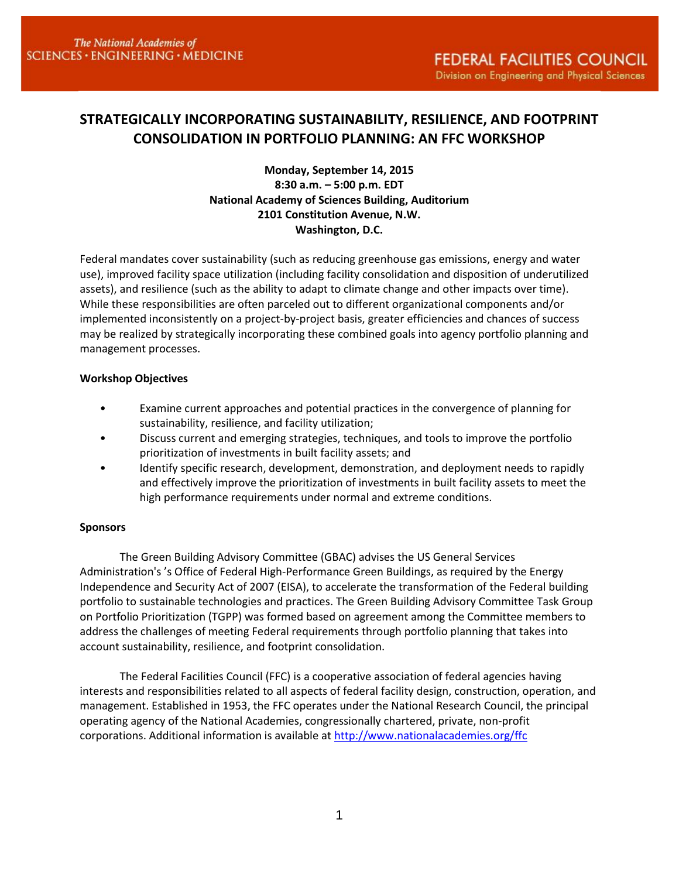# **STRATEGICALLY INCORPORATING SUSTAINABILITY, RESILIENCE, AND FOOTPRINT CONSOLIDATION IN PORTFOLIO PLANNING: AN FFC WORKSHOP**

### **Monday, September 14, 2015 8:30 a.m. – 5:00 p.m. EDT National Academy of Sciences Building, Auditorium 2101 Constitution Avenue, N.W. Washington, D.C.**

Federal mandates cover sustainability (such as reducing greenhouse gas emissions, energy and water use), improved facility space utilization (including facility consolidation and disposition of underutilized assets), and resilience (such as the ability to adapt to climate change and other impacts over time). While these responsibilities are often parceled out to different organizational components and/or implemented inconsistently on a project-by-project basis, greater efficiencies and chances of success may be realized by strategically incorporating these combined goals into agency portfolio planning and management processes.

### **Workshop Objectives**

- Examine current approaches and potential practices in the convergence of planning for sustainability, resilience, and facility utilization;
- Discuss current and emerging strategies, techniques, and tools to improve the portfolio prioritization of investments in built facility assets; and
- Identify specific research, development, demonstration, and deployment needs to rapidly and effectively improve the prioritization of investments in built facility assets to meet the high performance requirements under normal and extreme conditions.

### **Sponsors**

The Green Building Advisory Committee (GBAC) advises the US General Services Administration's 's Office of Federal High-Performance Green Buildings, as required by the Energy Independence and Security Act of 2007 (EISA), to accelerate the transformation of the Federal building portfolio to sustainable technologies and practices. The Green Building Advisory Committee Task Group on Portfolio Prioritization (TGPP) was formed based on agreement among the Committee members to address the challenges of meeting Federal requirements through portfolio planning that takes into account sustainability, resilience, and footprint consolidation.

The Federal Facilities Council (FFC) is a cooperative association of federal agencies having interests and responsibilities related to all aspects of federal facility design, construction, operation, and management. Established in 1953, the FFC operates under the National Research Council, the principal operating agency of the National Academies, congressionally chartered, private, non-profit corporations. Additional information is available at<http://www.nationalacademies.org/ffc>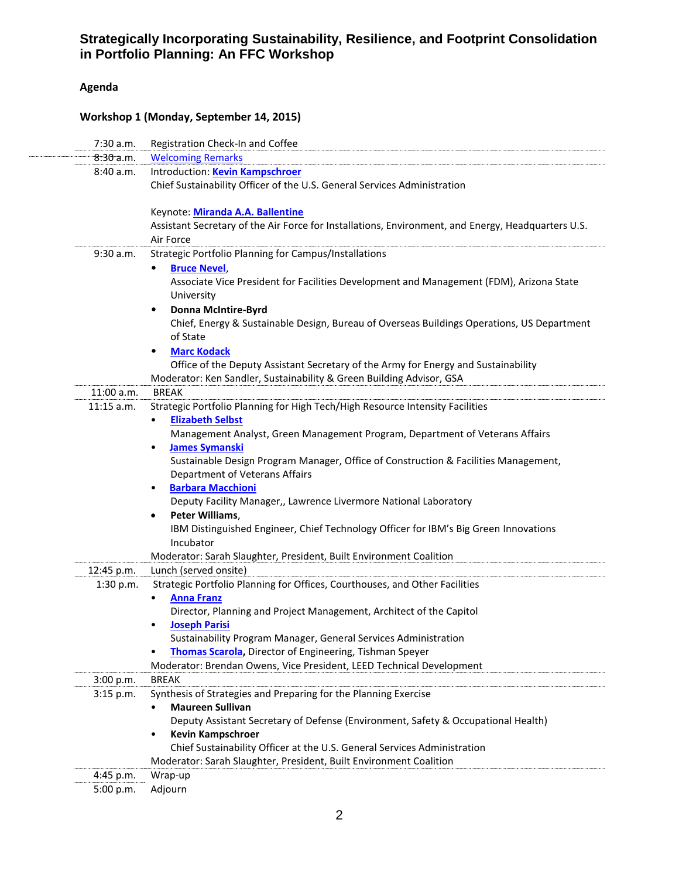# **Agenda**

### **Workshop 1 (Monday, September 14, 2015)**

| 7:30 a.m.    | Registration Check-In and Coffee                                                                   |
|--------------|----------------------------------------------------------------------------------------------------|
| 8:30a.m.     | <b>Welcoming Remarks</b>                                                                           |
| 8:40 a.m.    | Introduction: Kevin Kampschroer                                                                    |
|              | Chief Sustainability Officer of the U.S. General Services Administration                           |
|              | Keynote: Miranda A.A. Ballentine                                                                   |
|              | Assistant Secretary of the Air Force for Installations, Environment, and Energy, Headquarters U.S. |
|              | Air Force                                                                                          |
| 9:30 a.m.    | Strategic Portfolio Planning for Campus/Installations                                              |
|              | <b>Bruce Nevel,</b><br>٠                                                                           |
|              | Associate Vice President for Facilities Development and Management (FDM), Arizona State            |
|              | University                                                                                         |
|              | <b>Donna McIntire-Byrd</b><br>٠                                                                    |
|              | Chief, Energy & Sustainable Design, Bureau of Overseas Buildings Operations, US Department         |
|              | of State                                                                                           |
|              | <b>Marc Kodack</b>                                                                                 |
|              | Office of the Deputy Assistant Secretary of the Army for Energy and Sustainability                 |
|              | Moderator: Ken Sandler, Sustainability & Green Building Advisor, GSA                               |
| $11:00$ a.m. | <b>BREAK</b>                                                                                       |
| $11:15$ a.m. | Strategic Portfolio Planning for High Tech/High Resource Intensity Facilities                      |
|              | <b>Elizabeth Selbst</b><br>$\bullet$                                                               |
|              | Management Analyst, Green Management Program, Department of Veterans Affairs                       |
|              | <b>James Symanski</b><br>$\bullet$                                                                 |
|              | Sustainable Design Program Manager, Office of Construction & Facilities Management,                |
|              | Department of Veterans Affairs                                                                     |
|              | <b>Barbara Macchioni</b><br>$\bullet$                                                              |
|              | Deputy Facility Manager,, Lawrence Livermore National Laboratory                                   |
|              | Peter Williams,<br>٠                                                                               |
|              | IBM Distinguished Engineer, Chief Technology Officer for IBM's Big Green Innovations               |
|              | Incubator                                                                                          |
|              | Moderator: Sarah Slaughter, President, Built Environment Coalition                                 |
| 12:45 p.m.   | Lunch (served onsite)                                                                              |
| 1:30 p.m.    | Strategic Portfolio Planning for Offices, Courthouses, and Other Facilities                        |
|              | <b>Anna Franz</b>                                                                                  |
|              | Director, Planning and Project Management, Architect of the Capitol                                |
|              | <b>Joseph Parisi</b>                                                                               |
|              | Sustainability Program Manager, General Services Administration                                    |
|              | Thomas Scarola, Director of Engineering, Tishman Speyer                                            |
|              | Moderator: Brendan Owens, Vice President, LEED Technical Development                               |
| 3:00 p.m.    | <b>BREAK</b>                                                                                       |
| 3:15 p.m.    | Synthesis of Strategies and Preparing for the Planning Exercise                                    |
|              | <b>Maureen Sullivan</b>                                                                            |
|              | Deputy Assistant Secretary of Defense (Environment, Safety & Occupational Health)                  |
|              | <b>Kevin Kampschroer</b><br>٠                                                                      |
|              | Chief Sustainability Officer at the U.S. General Services Administration                           |
|              | Moderator: Sarah Slaughter, President, Built Environment Coalition                                 |
| 4:45 p.m.    | Wrap-up                                                                                            |
| 5:00 p.m.    | Adjourn                                                                                            |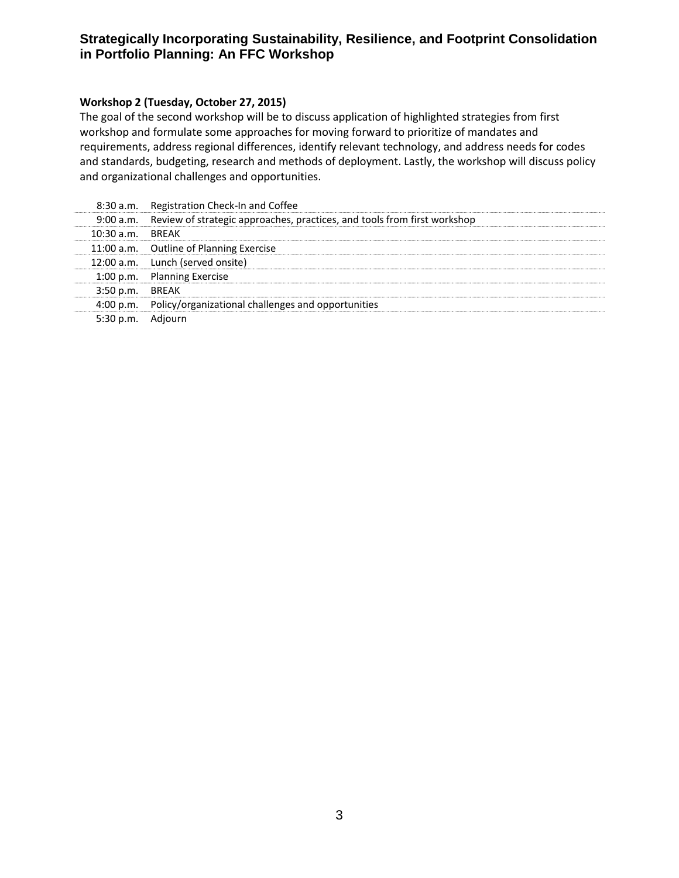### **Workshop 2 (Tuesday, October 27, 2015)**

The goal of the second workshop will be to discuss application of highlighted strategies from first workshop and formulate some approaches for moving forward to prioritize of mandates and requirements, address regional differences, identify relevant technology, and address needs for codes and standards, budgeting, research and methods of deployment. Lastly, the workshop will discuss policy and organizational challenges and opportunities.

|                   | 8:30 a.m. Registration Check-In and Coffee                                         |
|-------------------|------------------------------------------------------------------------------------|
|                   | 9:00 a.m. Review of strategic approaches, practices, and tools from first workshop |
| 10:30 a.m. BREAK  |                                                                                    |
|                   | 11:00 a.m. Outline of Planning Exercise                                            |
|                   | 12:00 a.m. Lunch (served onsite)                                                   |
|                   | 1:00 p.m. Planning Exercise                                                        |
| 3:50 p.m. BREAK   |                                                                                    |
|                   | 4:00 p.m. Policy/organizational challenges and opportunities                       |
| 5:30 p.m. Adjourn |                                                                                    |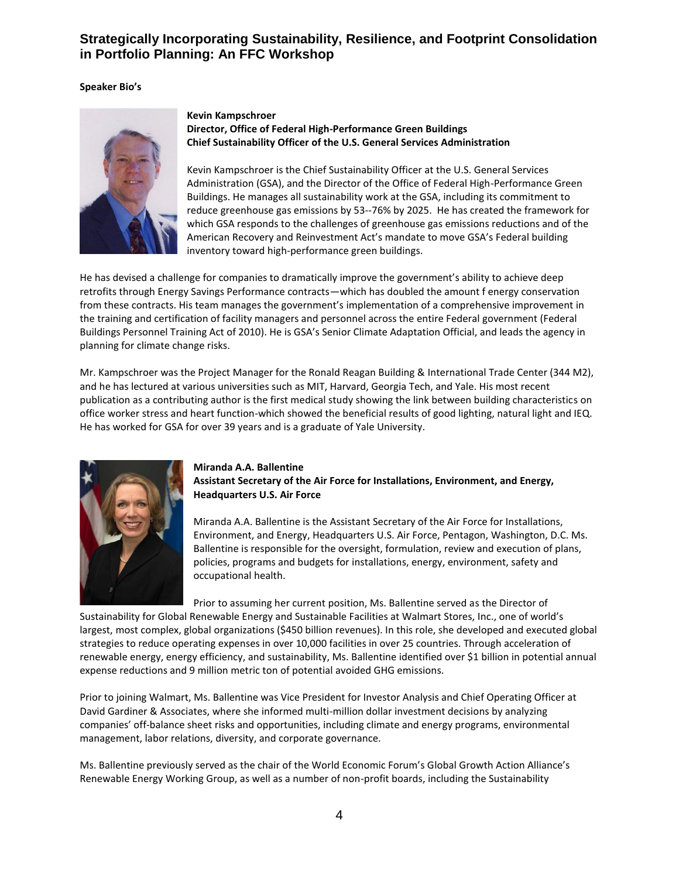#### **Speaker Bio's**



#### **Kevin Kampschroer Director, Office of Federal High-Performance Green Buildings Chief Sustainability Officer of the U.S. General Services Administration**

Kevin Kampschroer is the Chief Sustainability Officer at the U.S. General Services Administration (GSA), and the Director of the Office of Federal High-Performance Green Buildings. He manages all sustainability work at the GSA, including its commitment to reduce greenhouse gas emissions by 53--76% by 2025. He has created the framework for which GSA responds to the challenges of greenhouse gas emissions reductions and of the American Recovery and Reinvestment Act's mandate to move GSA's Federal building inventory toward high-performance green buildings.

He has devised a challenge for companies to dramatically improve the government's ability to achieve deep retrofits through Energy Savings Performance contracts—which has doubled the amount f energy conservation from these contracts. His team manages the government's implementation of a comprehensive improvement in the training and certification of facility managers and personnel across the entire Federal government (Federal Buildings Personnel Training Act of 2010). He is GSA's Senior Climate Adaptation Official, and leads the agency in planning for climate change risks.

Mr. Kampschroer was the Project Manager for the Ronald Reagan Building & International Trade Center (344 M2), and he has lectured at various universities such as MIT, Harvard, Georgia Tech, and Yale. His most recent publication as a contributing author is the first medical study showing the link between building characteristics on office worker stress and heart function-which showed the beneficial results of good lighting, natural light and IEQ. He has worked for GSA for over 39 years and is a graduate of Yale University.



### **Miranda A.A. Ballentine Assistant Secretary of the Air Force for Installations, Environment, and Energy, Headquarters U.S. Air Force**

Miranda A.A. Ballentine is the Assistant Secretary of the Air Force for Installations, Environment, and Energy, Headquarters U.S. Air Force, Pentagon, Washington, D.C. Ms. Ballentine is responsible for the oversight, formulation, review and execution of plans, policies, programs and budgets for installations, energy, environment, safety and occupational health.

Prior to assuming her current position, Ms. Ballentine served as the Director of

Sustainability for Global Renewable Energy and Sustainable Facilities at Walmart Stores, Inc., one of world's largest, most complex, global organizations (\$450 billion revenues). In this role, she developed and executed global strategies to reduce operating expenses in over 10,000 facilities in over 25 countries. Through acceleration of renewable energy, energy efficiency, and sustainability, Ms. Ballentine identified over \$1 billion in potential annual expense reductions and 9 million metric ton of potential avoided GHG emissions.

Prior to joining Walmart, Ms. Ballentine was Vice President for Investor Analysis and Chief Operating Officer at David Gardiner & Associates, where she informed multi-million dollar investment decisions by analyzing companies' off-balance sheet risks and opportunities, including climate and energy programs, environmental management, labor relations, diversity, and corporate governance.

Ms. Ballentine previously served as the chair of the World Economic Forum's Global Growth Action Alliance's Renewable Energy Working Group, as well as a number of non-profit boards, including the Sustainability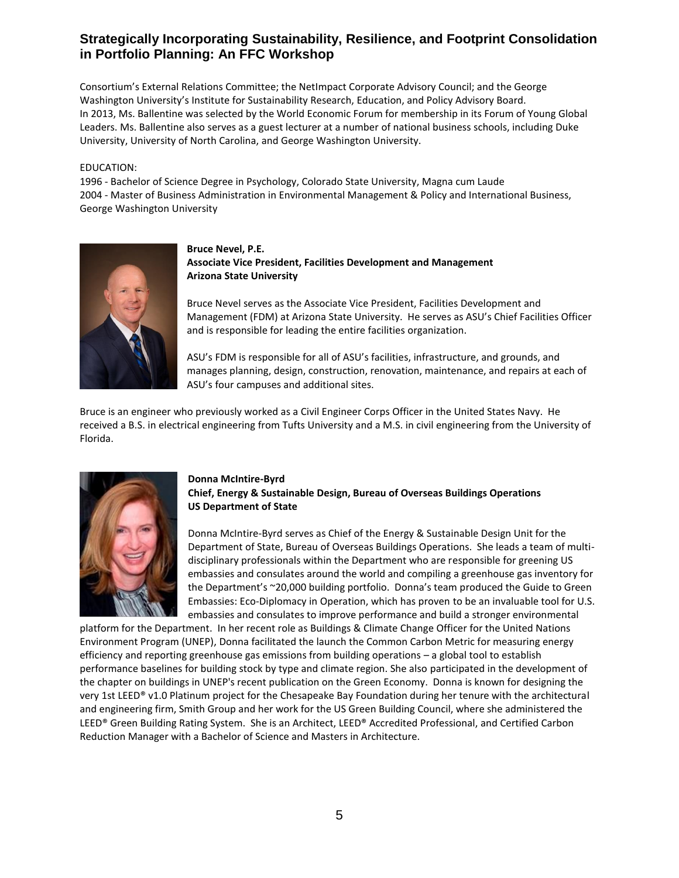Consortium's External Relations Committee; the NetImpact Corporate Advisory Council; and the George Washington University's Institute for Sustainability Research, Education, and Policy Advisory Board. In 2013, Ms. Ballentine was selected by the World Economic Forum for membership in its Forum of Young Global Leaders. Ms. Ballentine also serves as a guest lecturer at a number of national business schools, including Duke University, University of North Carolina, and George Washington University.

#### EDUCATION:

1996 - Bachelor of Science Degree in Psychology, Colorado State University, Magna cum Laude 2004 - Master of Business Administration in Environmental Management & Policy and International Business, George Washington University



**Bruce Nevel, P.E. Associate Vice President, Facilities Development and Management Arizona State University**

Bruce Nevel serves as the Associate Vice President, Facilities Development and Management (FDM) at Arizona State University. He serves as ASU's Chief Facilities Officer and is responsible for leading the entire facilities organization.

ASU's FDM is responsible for all of ASU's facilities, infrastructure, and grounds, and manages planning, design, construction, renovation, maintenance, and repairs at each of ASU's four campuses and additional sites.

Bruce is an engineer who previously worked as a Civil Engineer Corps Officer in the United States Navy. He received a B.S. in electrical engineering from Tufts University and a M.S. in civil engineering from the University of Florida.



### **Donna McIntire-Byrd Chief, Energy & Sustainable Design, Bureau of Overseas Buildings Operations US Department of State**

Donna McIntire-Byrd serves as Chief of the Energy & Sustainable Design Unit for the Department of State, Bureau of Overseas Buildings Operations. She leads a team of multidisciplinary professionals within the Department who are responsible for greening US embassies and consulates around the world and compiling a greenhouse gas inventory for the Department's ~20,000 building portfolio. Donna's team produced the Guide to Green Embassies: Eco-Diplomacy in Operation, which has proven to be an invaluable tool for U.S. embassies and consulates to improve performance and build a stronger environmental

platform for the Department. In her recent role as Buildings & Climate Change Officer for the United Nations Environment Program (UNEP), Donna facilitated the launch the Common Carbon Metric for measuring energy efficiency and reporting greenhouse gas emissions from building operations – a global tool to establish performance baselines for building stock by type and climate region. She also participated in the development of the chapter on buildings in UNEP's recent publication on the Green Economy. Donna is known for designing the very 1st LEED® v1.0 Platinum project for the Chesapeake Bay Foundation during her tenure with the architectural and engineering firm, Smith Group and her work for the US Green Building Council, where she administered the LEED® Green Building Rating System. She is an Architect, LEED® Accredited Professional, and Certified Carbon Reduction Manager with a Bachelor of Science and Masters in Architecture.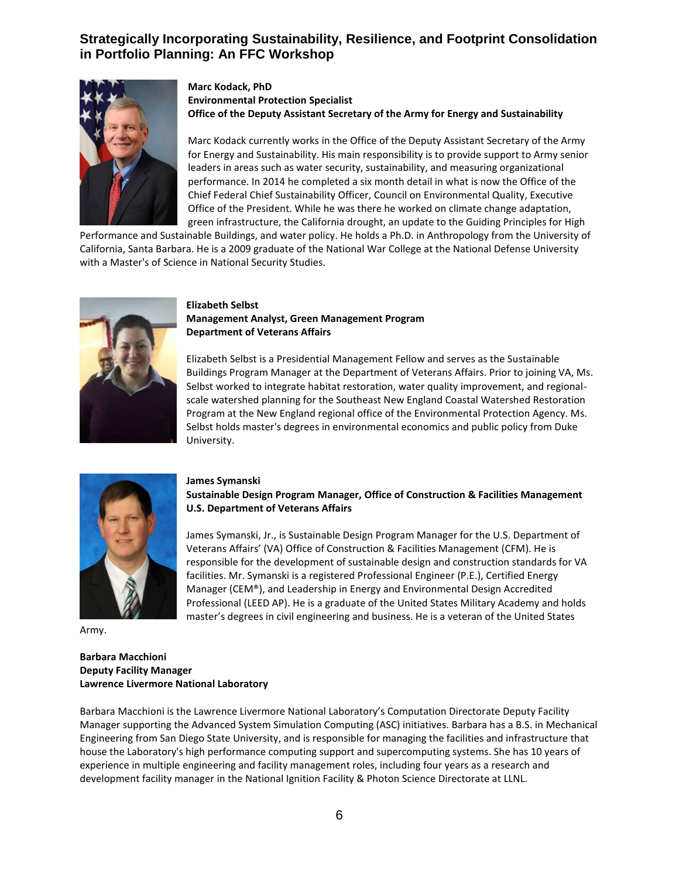

### **Marc Kodack, PhD Environmental Protection Specialist Office of the Deputy Assistant Secretary of the Army for Energy and Sustainability**

Marc Kodack currently works in the Office of the Deputy Assistant Secretary of the Army for Energy and Sustainability. His main responsibility is to provide support to Army senior leaders in areas such as water security, sustainability, and measuring organizational performance. In 2014 he completed a six month detail in what is now the Office of the Chief Federal Chief Sustainability Officer, Council on Environmental Quality, Executive Office of the President. While he was there he worked on climate change adaptation, green infrastructure, the California drought, an update to the Guiding Principles for High

Performance and Sustainable Buildings, and water policy. He holds a Ph.D. in Anthropology from the University of California, Santa Barbara. He is a 2009 graduate of the National War College at the National Defense University with a Master's of Science in National Security Studies.



### **Elizabeth Selbst Management Analyst, Green Management Program Department of Veterans Affairs**

Elizabeth Selbst is a Presidential Management Fellow and serves as the Sustainable Buildings Program Manager at the Department of Veterans Affairs. Prior to joining VA, Ms. Selbst worked to integrate habitat restoration, water quality improvement, and regionalscale watershed planning for the Southeast New England Coastal Watershed Restoration Program at the New England regional office of the Environmental Protection Agency. Ms. Selbst holds master's degrees in environmental economics and public policy from Duke University.



#### **James Symanski**

**Sustainable Design Program Manager, Office of Construction & Facilities Management U.S. Department of Veterans Affairs**

James Symanski, Jr., is Sustainable Design Program Manager for the U.S. Department of Veterans Affairs' (VA) Office of Construction & Facilities Management (CFM). He is responsible for the development of sustainable design and construction standards for VA facilities. Mr. Symanski is a registered Professional Engineer (P.E.), Certified Energy Manager (CEM®), and Leadership in Energy and Environmental Design Accredited Professional (LEED AP). He is a graduate of the United States Military Academy and holds master's degrees in civil engineering and business. He is a veteran of the United States

Army.

#### **Barbara Macchioni Deputy Facility Manager Lawrence Livermore National Laboratory**

Barbara Macchioni is the Lawrence Livermore National Laboratory's Computation Directorate Deputy Facility Manager supporting the Advanced System Simulation Computing (ASC) initiatives. Barbara has a B.S. in Mechanical Engineering from San Diego State University, and is responsible for managing the facilities and infrastructure that house the Laboratory's high performance computing support and supercomputing systems. She has 10 years of experience in multiple engineering and facility management roles, including four years as a research and development facility manager in the National Ignition Facility & Photon Science Directorate at LLNL.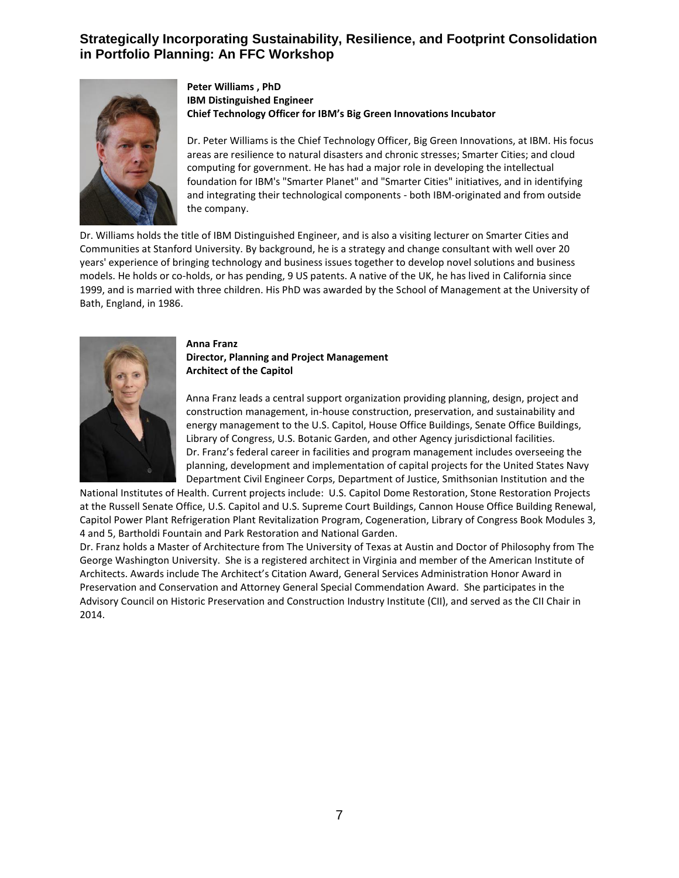

#### **Peter Williams , PhD IBM Distinguished Engineer Chief Technology Officer for IBM's Big Green Innovations Incubator**

Dr. Peter Williams is the Chief Technology Officer, Big Green Innovations, at IBM. His focus areas are resilience to natural disasters and chronic stresses; Smarter Cities; and cloud computing for government. He has had a major role in developing the intellectual foundation for IBM's "Smarter Planet" and "Smarter Cities" initiatives, and in identifying and integrating their technological components - both IBM-originated and from outside the company.

Dr. Williams holds the title of IBM Distinguished Engineer, and is also a visiting lecturer on Smarter Cities and Communities at Stanford University. By background, he is a strategy and change consultant with well over 20 years' experience of bringing technology and business issues together to develop novel solutions and business models. He holds or co-holds, or has pending, 9 US patents. A native of the UK, he has lived in California since 1999, and is married with three children. His PhD was awarded by the School of Management at the University of Bath, England, in 1986.



#### **Anna Franz Director, Planning and Project Management Architect of the Capitol**

Anna Franz leads a central support organization providing planning, design, project and construction management, in-house construction, preservation, and sustainability and energy management to the U.S. Capitol, House Office Buildings, Senate Office Buildings, Library of Congress, U.S. Botanic Garden, and other Agency jurisdictional facilities. Dr. Franz's federal career in facilities and program management includes overseeing the planning, development and implementation of capital projects for the United States Navy Department Civil Engineer Corps, Department of Justice, Smithsonian Institution and the

National Institutes of Health. Current projects include: U.S. Capitol Dome Restoration, Stone Restoration Projects at the Russell Senate Office, U.S. Capitol and U.S. Supreme Court Buildings, Cannon House Office Building Renewal, Capitol Power Plant Refrigeration Plant Revitalization Program, Cogeneration, Library of Congress Book Modules 3, 4 and 5, Bartholdi Fountain and Park Restoration and National Garden.

Dr. Franz holds a Master of Architecture from The University of Texas at Austin and Doctor of Philosophy from The George Washington University. She is a registered architect in Virginia and member of the American Institute of Architects. Awards include The Architect's Citation Award, General Services Administration Honor Award in Preservation and Conservation and Attorney General Special Commendation Award. She participates in the Advisory Council on Historic Preservation and Construction Industry Institute (CII), and served as the CII Chair in 2014.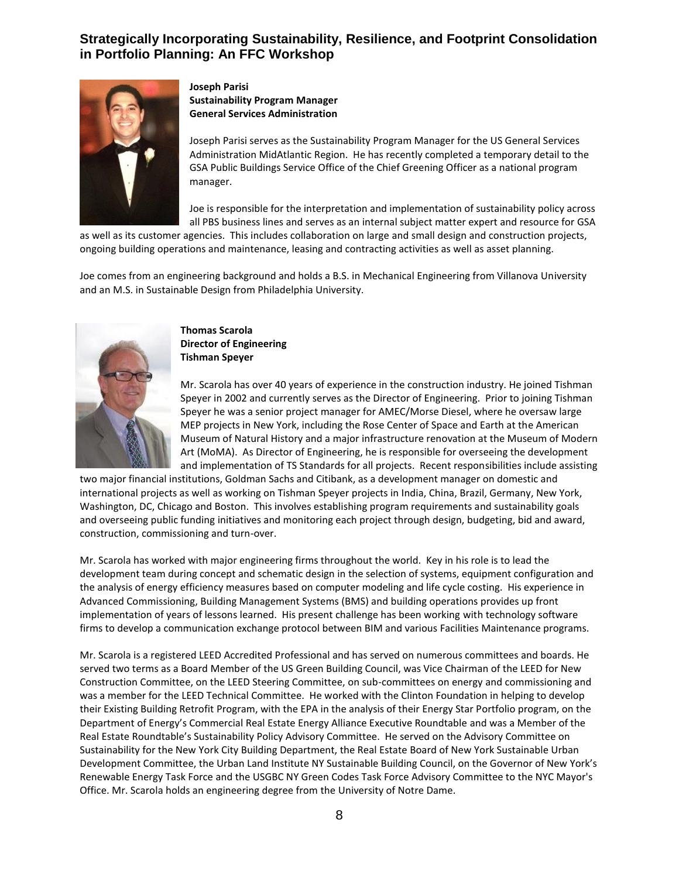

**Joseph Parisi Sustainability Program Manager General Services Administration** 

Joseph Parisi serves as the Sustainability Program Manager for the US General Services Administration MidAtlantic Region. He has recently completed a temporary detail to the GSA Public Buildings Service Office of the Chief Greening Officer as a national program manager.

Joe is responsible for the interpretation and implementation of sustainability policy across all PBS business lines and serves as an internal subject matter expert and resource for GSA

as well as its customer agencies. This includes collaboration on large and small design and construction projects, ongoing building operations and maintenance, leasing and contracting activities as well as asset planning.

Joe comes from an engineering background and holds a B.S. in Mechanical Engineering from Villanova University and an M.S. in Sustainable Design from Philadelphia University.



**Thomas Scarola Director of Engineering Tishman Speyer**

Mr. Scarola has over 40 years of experience in the construction industry. He joined Tishman Speyer in 2002 and currently serves as the Director of Engineering. Prior to joining Tishman Speyer he was a senior project manager for AMEC/Morse Diesel, where he oversaw large MEP projects in New York, including the Rose Center of Space and Earth at the American Museum of Natural History and a major infrastructure renovation at the Museum of Modern Art (MoMA). As Director of Engineering, he is responsible for overseeing the development and implementation of TS Standards for all projects. Recent responsibilities include assisting

two major financial institutions, Goldman Sachs and Citibank, as a development manager on domestic and international projects as well as working on Tishman Speyer projects in India, China, Brazil, Germany, New York, Washington, DC, Chicago and Boston. This involves establishing program requirements and sustainability goals and overseeing public funding initiatives and monitoring each project through design, budgeting, bid and award, construction, commissioning and turn-over.

Mr. Scarola has worked with major engineering firms throughout the world. Key in his role is to lead the development team during concept and schematic design in the selection of systems, equipment configuration and the analysis of energy efficiency measures based on computer modeling and life cycle costing. His experience in Advanced Commissioning, Building Management Systems (BMS) and building operations provides up front implementation of years of lessons learned. His present challenge has been working with technology software firms to develop a communication exchange protocol between BIM and various Facilities Maintenance programs.

Mr. Scarola is a registered LEED Accredited Professional and has served on numerous committees and boards. He served two terms as a Board Member of the US Green Building Council, was Vice Chairman of the LEED for New Construction Committee, on the LEED Steering Committee, on sub-committees on energy and commissioning and was a member for the LEED Technical Committee. He worked with the Clinton Foundation in helping to develop their Existing Building Retrofit Program, with the EPA in the analysis of their Energy Star Portfolio program, on the Department of Energy's Commercial Real Estate Energy Alliance Executive Roundtable and was a Member of the Real Estate Roundtable's Sustainability Policy Advisory Committee. He served on the Advisory Committee on Sustainability for the New York City Building Department, the Real Estate Board of New York Sustainable Urban Development Committee, the Urban Land Institute NY Sustainable Building Council, on the Governor of New York's Renewable Energy Task Force and the USGBC NY Green Codes Task Force Advisory Committee to the NYC Mayor's Office. Mr. Scarola holds an engineering degree from the University of Notre Dame.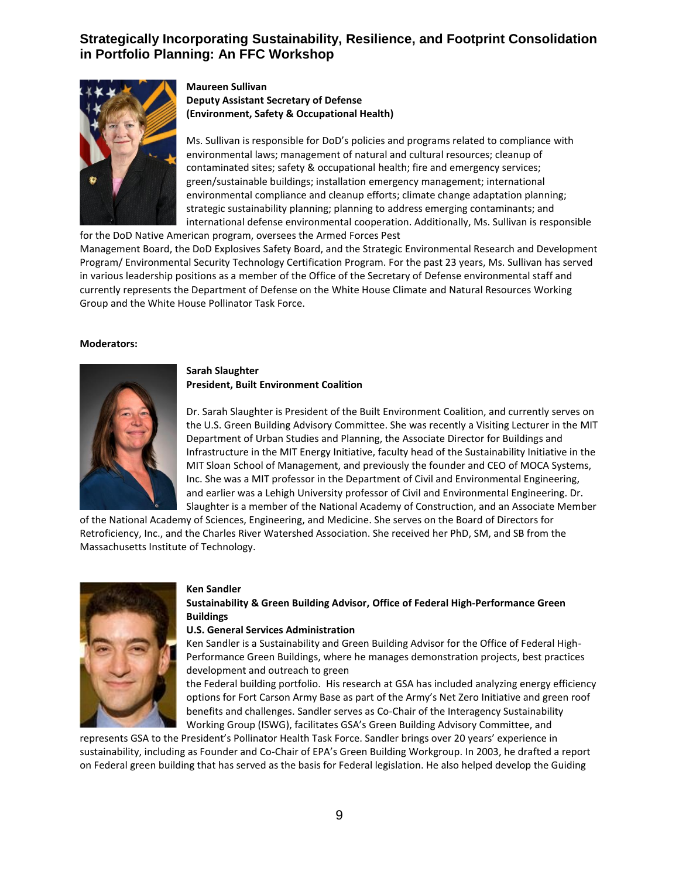

### **Maureen Sullivan Deputy Assistant Secretary of Defense (Environment, Safety & Occupational Health)**

Ms. Sullivan is responsible for DoD's policies and programs related to compliance with environmental laws; management of natural and cultural resources; cleanup of contaminated sites; safety & occupational health; fire and emergency services; green/sustainable buildings; installation emergency management; international environmental compliance and cleanup efforts; climate change adaptation planning; strategic sustainability planning; planning to address emerging contaminants; and international defense environmental cooperation. Additionally, Ms. Sullivan is responsible

for the DoD Native American program, oversees the Armed Forces Pest Management Board, the DoD Explosives Safety Board, and the Strategic Environmental Research and Development Program/ Environmental Security Technology Certification Program. For the past 23 years, Ms. Sullivan has served in various leadership positions as a member of the Office of the Secretary of Defense environmental staff and currently represents the Department of Defense on the White House Climate and Natural Resources Working Group and the White House Pollinator Task Force.

#### **Moderators:**



### **Sarah Slaughter President, Built Environment Coalition**

Dr. Sarah Slaughter is President of the Built Environment Coalition, and currently serves on the U.S. Green Building Advisory Committee. She was recently a Visiting Lecturer in the MIT Department of Urban Studies and Planning, the Associate Director for Buildings and Infrastructure in the MIT Energy Initiative, faculty head of the Sustainability Initiative in the MIT Sloan School of Management, and previously the founder and CEO of MOCA Systems, Inc. She was a MIT professor in the Department of Civil and Environmental Engineering, and earlier was a Lehigh University professor of Civil and Environmental Engineering. Dr. Slaughter is a member of the National Academy of Construction, and an Associate Member

of the National Academy of Sciences, Engineering, and Medicine. She serves on the Board of Directors for Retroficiency, Inc., and the Charles River Watershed Association. She received her PhD, SM, and SB from the Massachusetts Institute of Technology.



#### **Ken Sandler**

### **Sustainability & Green Building Advisor, Office of Federal High-Performance Green Buildings**

#### **U.S. General Services Administration**

Ken Sandler is a Sustainability and Green Building Advisor for the Office of Federal High-Performance Green Buildings, where he manages demonstration projects, best practices development and outreach to green

the Federal building portfolio. His research at GSA has included analyzing energy efficiency options for Fort Carson Army Base as part of the Army's Net Zero Initiative and green roof benefits and challenges. Sandler serves as Co-Chair of the Interagency Sustainability Working Group (ISWG), facilitates GSA's Green Building Advisory Committee, and

represents GSA to the President's Pollinator Health Task Force. Sandler brings over 20 years' experience in sustainability, including as Founder and Co-Chair of EPA's Green Building Workgroup. In 2003, he drafted a report on Federal green building that has served as the basis for Federal legislation. He also helped develop the Guiding